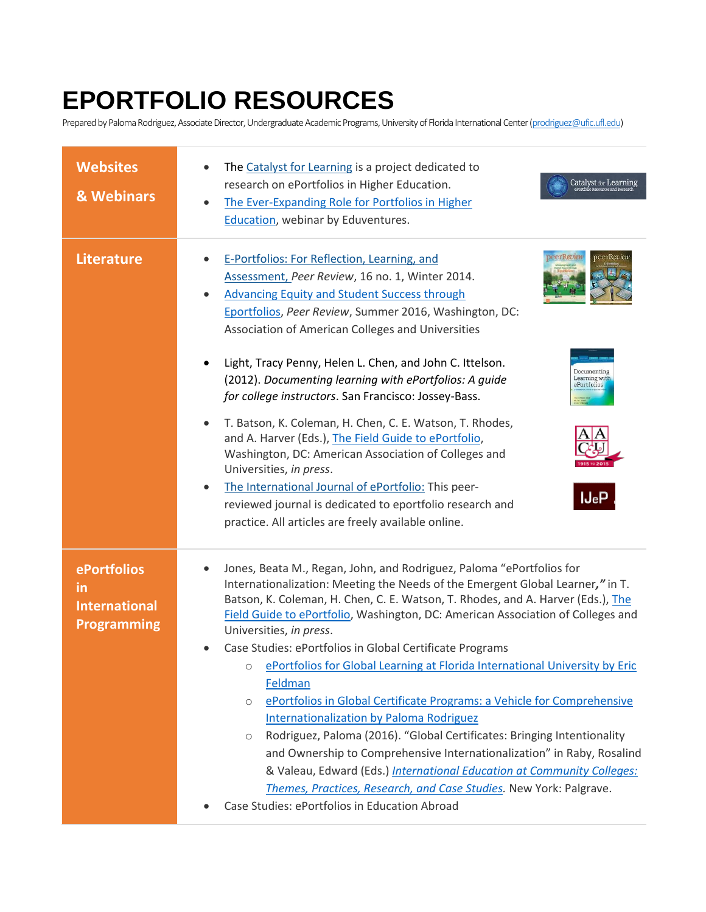## **EPORTFOLIO RESOURCES**

Prepared by Paloma Rodriguez, Associate Director, Undergraduate Academic Programs, University of Florida International Center [\(prodriguez@ufic.ufl.edu\)](mailto:prodriguez@ufic.ufl.edu)

| <b>Websites</b><br>& Webinars                                   | The Catalyst for Learning is a project dedicated to<br>research on ePortfolios in Higher Education.<br>Catalyst for Learning<br>ePortfolio Resources and Research<br>The Ever-Expanding Role for Portfolios in Higher<br>Education, webinar by Eduventures.                                                                                                                                                                                                                                                      |
|-----------------------------------------------------------------|------------------------------------------------------------------------------------------------------------------------------------------------------------------------------------------------------------------------------------------------------------------------------------------------------------------------------------------------------------------------------------------------------------------------------------------------------------------------------------------------------------------|
| <b>Literature</b>                                               | E-Portfolios: For Reflection, Learning, and<br>Assessment, Peer Review, 16 no. 1, Winter 2014.<br><b>Advancing Equity and Student Success through</b><br>Eportfolios, Peer Review, Summer 2016, Washington, DC:<br>Association of American Colleges and Universities                                                                                                                                                                                                                                             |
|                                                                 | Light, Tracy Penny, Helen L. Chen, and John C. Ittelson.<br>Learning with<br>ePortfolios<br>(2012). Documenting learning with ePortfolios: A guide<br>for college instructors. San Francisco: Jossey-Bass.                                                                                                                                                                                                                                                                                                       |
|                                                                 | T. Batson, K. Coleman, H. Chen, C. E. Watson, T. Rhodes,<br>and A. Harver (Eds.), The Field Guide to ePortfolio,<br>Washington, DC: American Association of Colleges and<br>Universities, in press.<br>The International Journal of ePortfolio: This peer-<br>IJeP<br>reviewed journal is dedicated to eportfolio research and<br>practice. All articles are freely available online.                                                                                                                            |
| ePortfolios<br>in<br><b>International</b><br><b>Programming</b> | Jones, Beata M., Regan, John, and Rodriguez, Paloma "ePortfolios for<br>Internationalization: Meeting the Needs of the Emergent Global Learner," in T.<br>Batson, K. Coleman, H. Chen, C. E. Watson, T. Rhodes, and A. Harver (Eds.), The<br>Field Guide to ePortfolio, Washington, DC: American Association of Colleges and<br>Universities, in press.<br>Case Studies: ePortfolios in Global Certificate Programs<br>ePortfolios for Global Learning at Florida International University by Eric<br>$\bigcirc$ |
|                                                                 | Feldman<br>ePortfolios in Global Certificate Programs: a Vehicle for Comprehensive<br>$\circ$<br>Internationalization by Paloma Rodriguez<br>Rodriguez, Paloma (2016). "Global Certificates: Bringing Intentionality<br>$\circ$<br>and Ownership to Comprehensive Internationalization" in Raby, Rosalind<br>& Valeau, Edward (Eds.) International Education at Community Colleges:<br>Themes, Practices, Research, and Case Studies. New York: Palgrave.<br>Case Studies: ePortfolios in Education Abroad       |